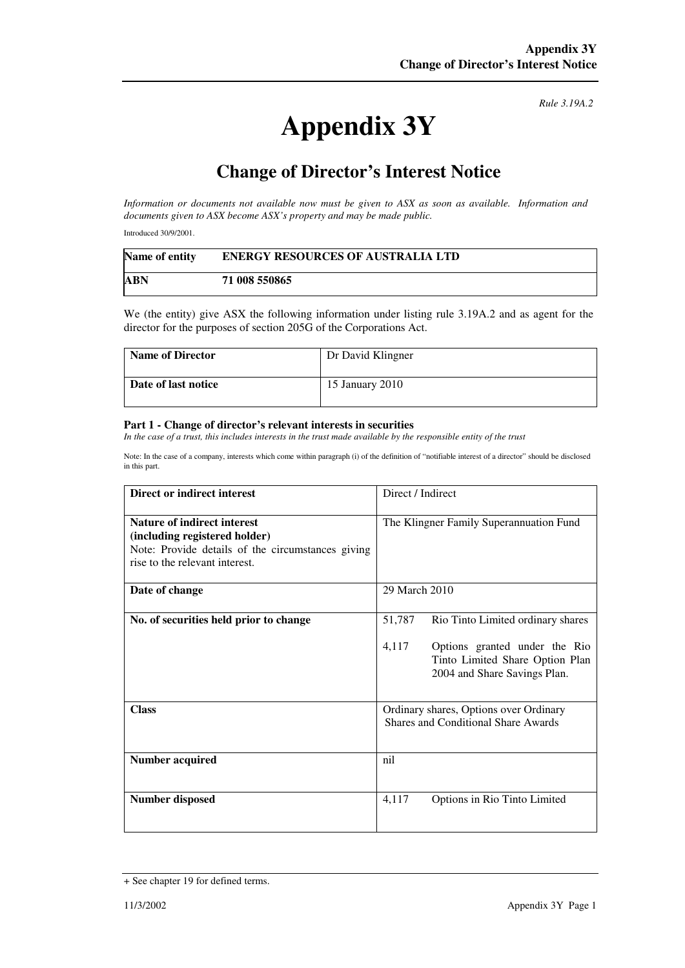## **Appendix 3Y**

*Rule 3.19A.2*

## **Change of Director's Interest Notice**

*Information or documents not available now must be given to ASX as soon as available. Information and documents given to ASX become ASX's property and may be made public.* 

Introduced 30/9/2001.

| Name of entity | <b>ENERGY RESOURCES OF AUSTRALIA LTD</b> |
|----------------|------------------------------------------|
| <b>ABN</b>     | 71 008 550865                            |

We (the entity) give ASX the following information under listing rule 3.19A.2 and as agent for the director for the purposes of section 205G of the Corporations Act.

| <b>Name of Director</b> | Dr David Klingner |
|-------------------------|-------------------|
| Date of last notice     | 15 January 2010   |

## **Part 1 - Change of director's relevant interests in securities**

In the case of a trust, this includes interests in the trust made available by the responsible entity of the trust

Note: In the case of a company, interests which come within paragraph (i) of the definition of "notifiable interest of a director" should be disclosed in this part.

| Direct or indirect interest                                                                                                                                | Direct / Indirect                                                                                                                                        |  |
|------------------------------------------------------------------------------------------------------------------------------------------------------------|----------------------------------------------------------------------------------------------------------------------------------------------------------|--|
| <b>Nature of indirect interest</b><br>(including registered holder)<br>Note: Provide details of the circumstances giving<br>rise to the relevant interest. | The Klingner Family Superannuation Fund                                                                                                                  |  |
| Date of change                                                                                                                                             | 29 March 2010                                                                                                                                            |  |
| No. of securities held prior to change                                                                                                                     | 51,787<br>Rio Tinto Limited ordinary shares<br>4,117<br>Options granted under the Rio<br>Tinto Limited Share Option Plan<br>2004 and Share Savings Plan. |  |
| <b>Class</b>                                                                                                                                               | Ordinary shares, Options over Ordinary<br>Shares and Conditional Share Awards                                                                            |  |
| <b>Number acquired</b>                                                                                                                                     | nil                                                                                                                                                      |  |
| <b>Number disposed</b>                                                                                                                                     | Options in Rio Tinto Limited<br>4,117                                                                                                                    |  |

<sup>+</sup> See chapter 19 for defined terms.